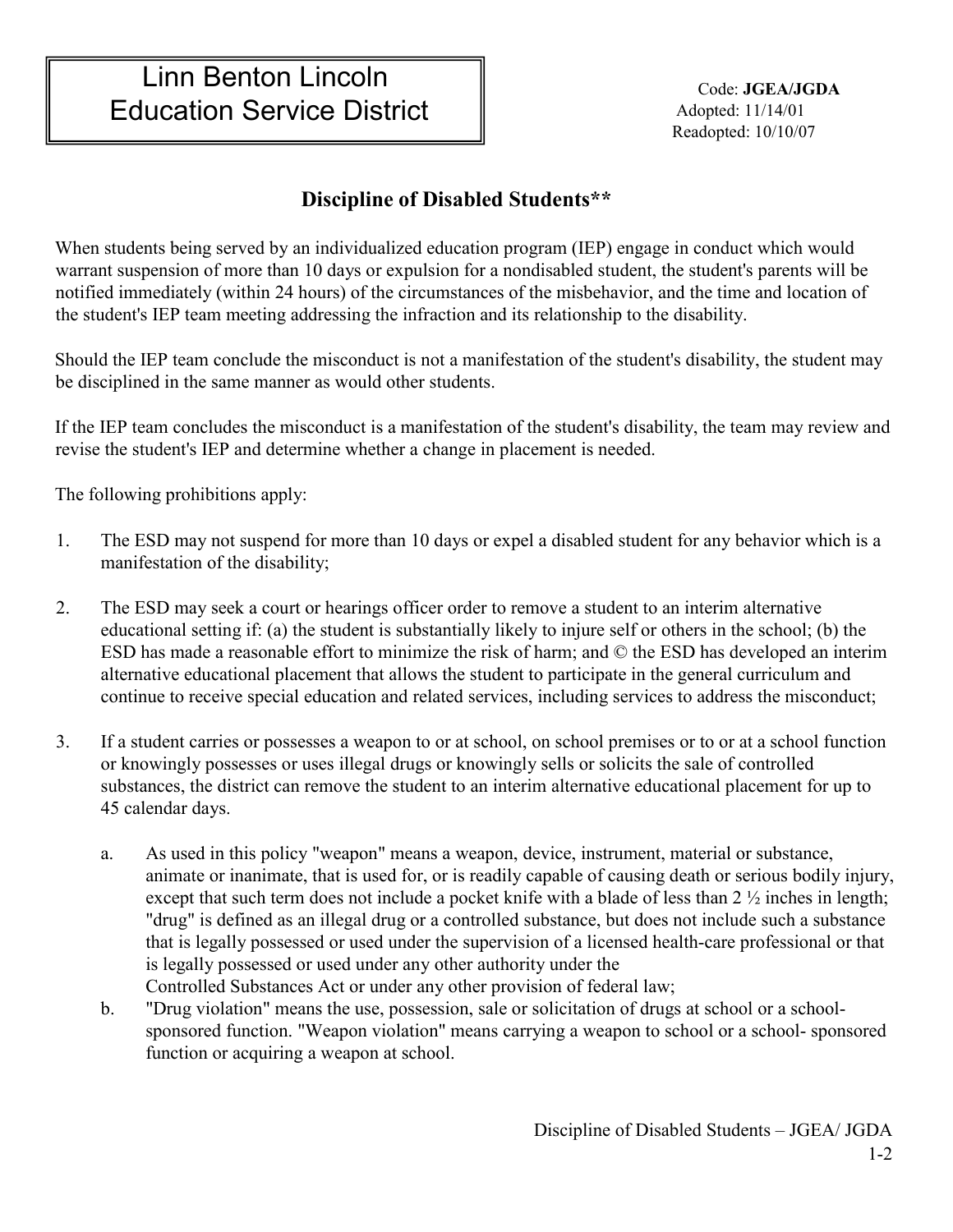## **Discipline of Disabled Students\*\***

When students being served by an individualized education program (IEP) engage in conduct which would warrant suspension of more than 10 days or expulsion for a nondisabled student, the student's parents will be notified immediately (within 24 hours) of the circumstances of the misbehavior, and the time and location of the student's IEP team meeting addressing the infraction and its relationship to the disability.

Should the IEP team conclude the misconduct is not a manifestation of the student's disability, the student may be disciplined in the same manner as would other students.

If the IEP team concludes the misconduct is a manifestation of the student's disability, the team may review and revise the student's IEP and determine whether a change in placement is needed.

The following prohibitions apply:

- 1. The ESD may not suspend for more than 10 days or expel a disabled student for any behavior which is a manifestation of the disability;
- 2. The ESD may seek a court or hearings officer order to remove a student to an interim alternative educational setting if: (a) the student is substantially likely to injure self or others in the school; (b) the ESD has made a reasonable effort to minimize the risk of harm; and © the ESD has developed an interim alternative educational placement that allows the student to participate in the general curriculum and continue to receive special education and related services, including services to address the misconduct;
- 3. If a student carries or possesses a weapon to or at school, on school premises or to or at a school function or knowingly possesses or uses illegal drugs or knowingly sells or solicits the sale of controlled substances, the district can remove the student to an interim alternative educational placement for up to 45 calendar days.
	- a. As used in this policy "weapon" means a weapon, device, instrument, material or substance, animate or inanimate, that is used for, or is readily capable of causing death or serious bodily injury, except that such term does not include a pocket knife with a blade of less than 2  $\frac{1}{2}$  inches in length; "drug" is defined as an illegal drug or a controlled substance, but does not include such a substance that is legally possessed or used under the supervision of a licensed health-care professional or that is legally possessed or used under any other authority under the Controlled Substances Act or under any other provision of federal law;
	- b. "Drug violation" means the use, possession, sale or solicitation of drugs at school or a schoolsponsored function. "Weapon violation" means carrying a weapon to school or a school- sponsored function or acquiring a weapon at school.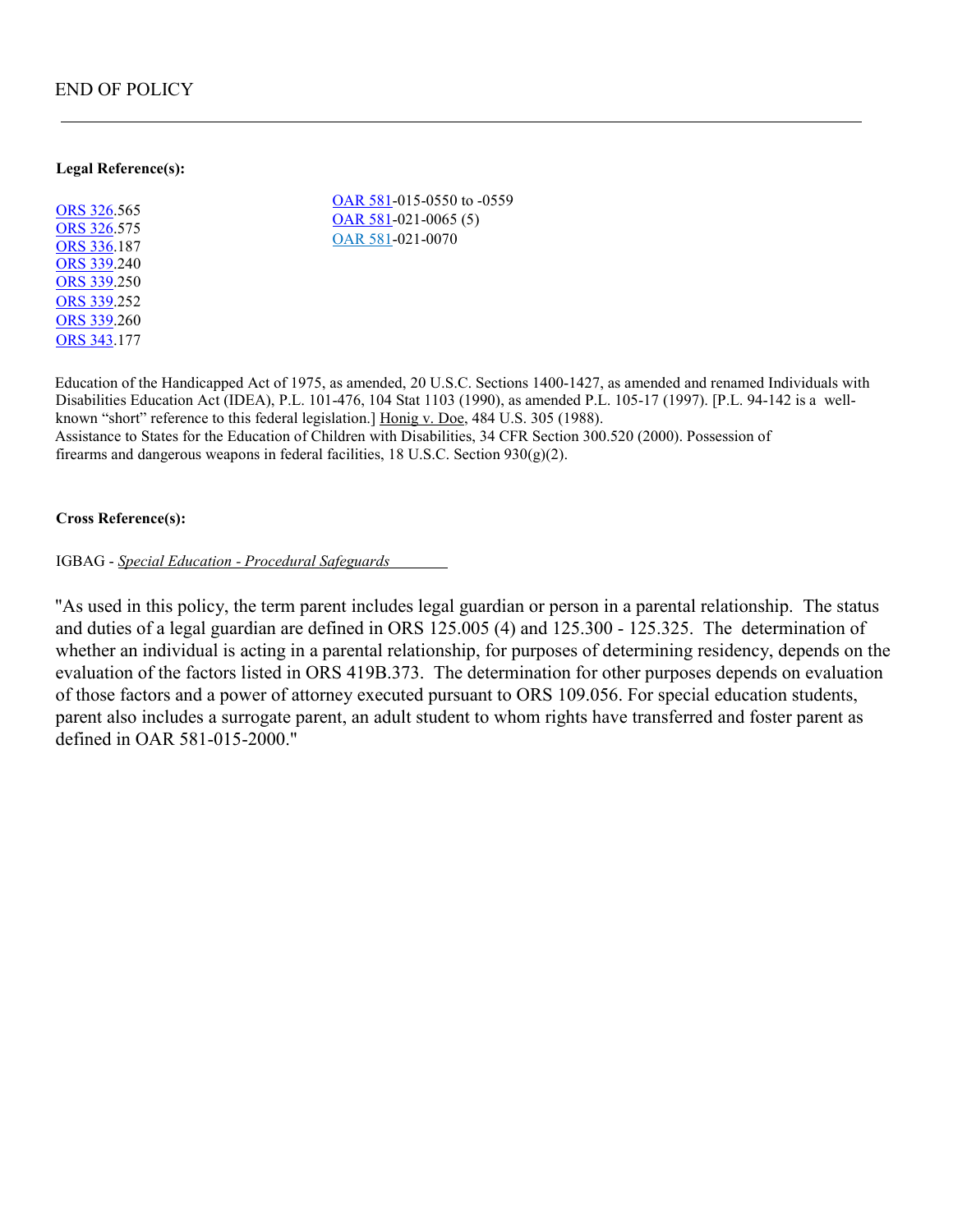## END OF POLICY

## **Legal Reference(s):**

[ORS 326](https://www.oregonlegislature.gov/bills_laws/ors/ors326.html)[.5](http://landru.leg.state.or.us/ors/326.html)65 [ORS 326](https://www.oregonlegislature.gov/bills_laws/ors/ors326.html)[.5](http://landru.leg.state.or.us/ors/326.html)75 [ORS 336](https://www.oregonlegislature.gov/bills_laws/ors/ors336.html)[.1](http://landru.leg.state.or.us/ors/336.html)87 [ORS 339](https://www.oregonlegislature.gov/bills_laws/ors/ors339.html)[.2](http://landru.leg.state.or.us/ors/339.html)40 [ORS 339](https://www.oregonlegislature.gov/bills_laws/ors/ors339.html)[.2](http://landru.leg.state.or.us/ors/339.html)50 [ORS 339](https://www.oregonlegislature.gov/bills_laws/ors/ors339.html)[.2](http://www.landru.leg.state.or.us/ors/339.html)52 [ORS 339](https://www.oregonlegislature.gov/bills_laws/ors/ors339.html)[.2](http://landru.leg.state.or.us/ors/339.html)60 [ORS 343](https://www.oregonlegislature.gov/bills_laws/ors/ors343.html)[.1](http://landru.leg.state.or.us/ors/343.html)77

[OAR 581-015](https://secure.sos.state.or.us/oard/displayChapterRules.action?selectedChapter=137)[-0](http://arcweb.sos.state.or.us/rules/OARS_500/OAR_581/581_015.html)550 to -0559 [OAR 581-021](https://secure.sos.state.or.us/oard/displayChapterRules.action?selectedChapter=137)[-0](http://arcweb.sos.state.or.us/rules/OARS_500/OAR_581/581_021.html)065 (5) [OAR 581-021](https://secure.sos.state.or.us/oard/displayChapterRules.action?selectedChapter=137)[-0](http://arcweb.sos.state.or.us/rules/OARS_500/OAR_581/581_021.html)070

Education of the Handicapped Act of 1975, as amended, 20 U.S.C. Sections 1400-1427, as amended and renamed Individuals with Disabilities Education Act (IDEA), P.L. 101-476, 104 Stat 1103 (1990), as amended P.L. 105-17 (1997). [P.L. 94-142 is a wellknown "short" reference to this federal legislation.] Honig v. Doe, 484 U.S. 305 (1988). Assistance to States for the Education of Children with Disabilities, 34 CFR Section 300.520 (2000). Possession of firearms and dangerous weapons in federal facilities, 18 U.S.C. Section 930(g)(2).

## **Cross Reference(s):**

IGBAG - *Special Education - Procedural Safeguards* 

"As used in this policy, the term parent includes legal guardian or person in a parental relationship. The status and duties of a legal guardian are defined in ORS 125.005 (4) and 125.300 - 125.325. The determination of whether an individual is acting in a parental relationship, for purposes of determining residency, depends on the evaluation of the factors listed in ORS 419B.373. The determination for other purposes depends on evaluation of those factors and a power of attorney executed pursuant to ORS 109.056. For special education students, parent also includes a surrogate parent, an adult student to whom rights have transferred and foster parent as defined in OAR 581-015-2000."